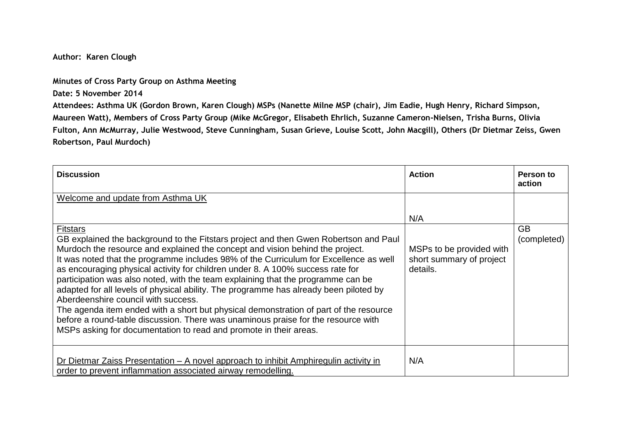## **Author: Karen Clough**

**Minutes of Cross Party Group on Asthma Meeting** 

**Date: 5 November 2014**

**Attendees: Asthma UK (Gordon Brown, Karen Clough) MSPs (Nanette Milne MSP (chair), Jim Eadie, Hugh Henry, Richard Simpson, Maureen Watt), Members of Cross Party Group (Mike McGregor, Elisabeth Ehrlich, Suzanne Cameron-Nielsen, Trisha Burns, Olivia Fulton, Ann McMurray, Julie Westwood, Steve Cunningham, Susan Grieve, Louise Scott, John Macgill), Others (Dr Dietmar Zeiss, Gwen Robertson, Paul Murdoch)**

| <b>Discussion</b>                                                                                                                                                                                                                                                                                                                                                                                                                                                                                                                                                                                                                                                                                                                                                                                                                          | <b>Action</b>                                                    | Person to<br>action      |
|--------------------------------------------------------------------------------------------------------------------------------------------------------------------------------------------------------------------------------------------------------------------------------------------------------------------------------------------------------------------------------------------------------------------------------------------------------------------------------------------------------------------------------------------------------------------------------------------------------------------------------------------------------------------------------------------------------------------------------------------------------------------------------------------------------------------------------------------|------------------------------------------------------------------|--------------------------|
| Welcome and update from Asthma UK                                                                                                                                                                                                                                                                                                                                                                                                                                                                                                                                                                                                                                                                                                                                                                                                          |                                                                  |                          |
|                                                                                                                                                                                                                                                                                                                                                                                                                                                                                                                                                                                                                                                                                                                                                                                                                                            | N/A                                                              |                          |
| <b>Fitstars</b><br>GB explained the background to the Fitstars project and then Gwen Robertson and Paul<br>Murdoch the resource and explained the concept and vision behind the project.<br>It was noted that the programme includes 98% of the Curriculum for Excellence as well<br>as encouraging physical activity for children under 8. A 100% success rate for<br>participation was also noted, with the team explaining that the programme can be<br>adapted for all levels of physical ability. The programme has already been piloted by<br>Aberdeenshire council with success.<br>The agenda item ended with a short but physical demonstration of part of the resource<br>before a round-table discussion. There was unaminous praise for the resource with<br>MSPs asking for documentation to read and promote in their areas. | MSPs to be provided with<br>short summary of project<br>details. | <b>GB</b><br>(completed) |
| Dr Dietmar Zaiss Presentation – A novel approach to inhibit Amphiregulin activity in<br>order to prevent inflammation associated airway remodelling.                                                                                                                                                                                                                                                                                                                                                                                                                                                                                                                                                                                                                                                                                       | N/A                                                              |                          |